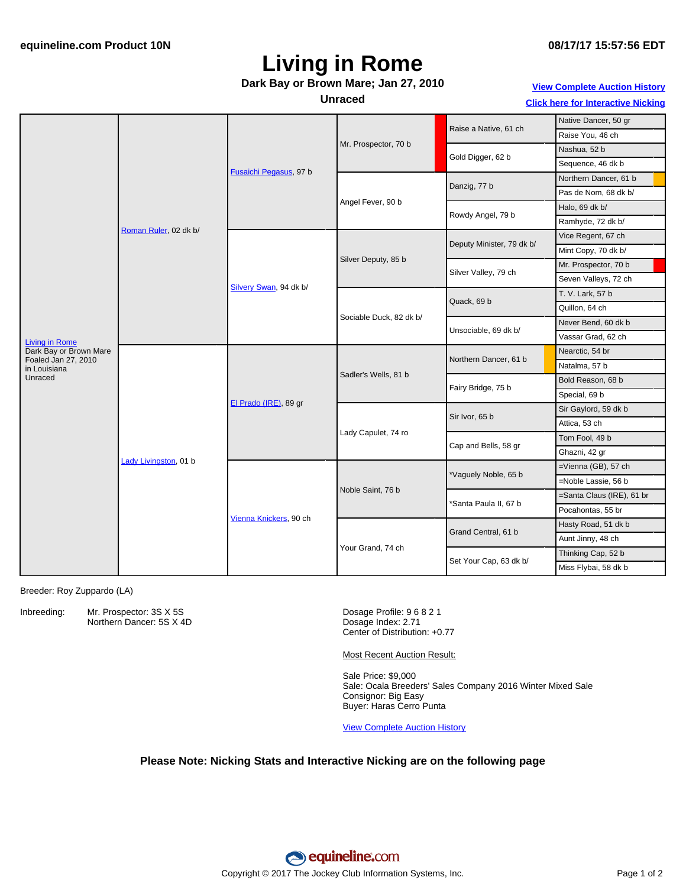# **Living in Rome**

#### **Dark Bay or Brown Mare; Jan 27, 2010**

#### **Unraced**

**View [Complete](http://www.equineline.com/Free-Auction-Results.cfm?upsellReferenceNumber=&upsellHorseName=&upsellBreedType=&upsellHorseType=&upsellYOB=&lookupAuctionResults=true&tempHorseType=&tempSale=ALL&tempYear=ALL&search_type=HORSE&reference_number=8885918&horse_name=Fateful&horse_type=ALL&year=ALL&sale=ALL&consignor_id=&consignor_name=&buyer_id=&buyer_name=&price_range_low=&price_range_high=&availableConsignors=&availableBuyers=&fromFree5CrossPedigree=Y) Auction History**

**Click here for [Interactive](#page-1-0) Nicking**

|                                                 |                       |                        |                         |                           | Native Dancer, 50 gr      |
|-------------------------------------------------|-----------------------|------------------------|-------------------------|---------------------------|---------------------------|
|                                                 | Roman Ruler, 02 dk b/ | Fusaichi Pegasus, 97 b | Mr. Prospector, 70 b    | Raise a Native, 61 ch     | Raise You, 46 ch          |
|                                                 |                       |                        |                         | Gold Digger, 62 b         | Nashua, 52 b              |
|                                                 |                       |                        |                         |                           |                           |
|                                                 |                       |                        |                         |                           | Sequence, 46 dk b         |
|                                                 |                       |                        | Angel Fever, 90 b       | Danzig, 77 b              | Northern Dancer, 61 b     |
|                                                 |                       |                        |                         |                           | Pas de Nom, 68 dk b/      |
|                                                 |                       |                        |                         | Rowdy Angel, 79 b         | Halo, 69 dk b/            |
|                                                 |                       |                        |                         |                           | Ramhyde, 72 dk b/         |
|                                                 |                       | Silvery Swan, 94 dk b/ | Silver Deputy, 85 b     | Deputy Minister, 79 dk b/ | Vice Regent, 67 ch        |
| <b>Living in Rome</b><br>Dark Bay or Brown Mare |                       |                        |                         |                           | Mint Copy, 70 dk b/       |
|                                                 |                       |                        |                         | Silver Valley, 79 ch      | Mr. Prospector, 70 b      |
|                                                 |                       |                        |                         |                           | Seven Valleys, 72 ch      |
|                                                 |                       |                        | Sociable Duck, 82 dk b/ | Quack, 69 b               | T. V. Lark, 57 b          |
|                                                 |                       |                        |                         |                           | Quillon, 64 ch            |
|                                                 |                       |                        |                         | Unsociable, 69 dk b/      | Never Bend, 60 dk b       |
|                                                 |                       |                        |                         |                           | Vassar Grad, 62 ch        |
|                                                 | Lady Livingston, 01 b | El Prado (IRE), 89 gr  | Sadler's Wells, 81 b    | Northern Dancer, 61 b     | Nearctic, 54 br           |
| Foaled Jan 27, 2010<br>in Louisiana             |                       |                        |                         |                           | Natalma, 57 b             |
| Unraced                                         |                       |                        |                         | Fairy Bridge, 75 b        | Bold Reason, 68 b         |
|                                                 |                       |                        |                         |                           | Special, 69 b             |
|                                                 |                       |                        | Lady Capulet, 74 ro     | Sir Ivor, 65 b            | Sir Gaylord, 59 dk b      |
|                                                 |                       |                        |                         |                           | Attica, 53 ch             |
|                                                 |                       |                        |                         | Cap and Bells, 58 gr      | Tom Fool, 49 b            |
|                                                 |                       |                        |                         |                           | Ghazni, 42 gr             |
|                                                 |                       | Vienna Knickers, 90 ch | Noble Saint, 76 b       | *Vaguely Noble, 65 b      | =Vienna (GB), 57 ch       |
|                                                 |                       |                        |                         |                           | =Noble Lassie, 56 b       |
|                                                 |                       |                        |                         | *Santa Paula II, 67 b     | =Santa Claus (IRE), 61 br |
|                                                 |                       |                        |                         |                           | Pocahontas, 55 br         |
|                                                 |                       |                        | Your Grand, 74 ch       | Grand Central, 61 b       | Hasty Road, 51 dk b       |
|                                                 |                       |                        |                         |                           | Aunt Jinny, 48 ch         |
|                                                 |                       |                        |                         | Set Your Cap, 63 dk b/    | Thinking Cap, 52 b        |
|                                                 |                       |                        |                         |                           | Miss Flybai, 58 dk b      |

Breeder: Roy Zuppardo (LA)

Inbreeding: Mr. Prospector: 3S X 5S Northern Dancer: 5S X 4D Dosage Profile: 9 6 8 2 1 Dosage Index: 2.71 Center of Distribution: +0.77

Most Recent Auction Result:

Sale Price: \$9,000 Sale: Ocala Breeders' Sales Company 2016 Winter Mixed Sale Consignor: Big Easy Buyer: Haras Cerro Punta

View [Complete](http://www.equineline.com/Free-Auction-Results.cfm?upsellReferenceNumber=&upsellHorseName=&upsellBreedType=&upsellHorseType=&upsellYOB=&lookupAuctionResults=true&tempHorseType=&tempSale=ALL&tempYear=ALL&search_type=HORSE&reference_number=8885918&horse_name=Fateful&horse_type=ALL&year=ALL&sale=ALL&consignor_id=&consignor_name=&buyer_id=&buyer_name=&price_range_low=&price_range_high=&availableConsignors=&availableBuyers=&fromFree5CrossPedigree=Y) Auction History

### **Please Note: Nicking Stats and Interactive Nicking are on the following page**

**08/17/17 15:57:56 EDT**